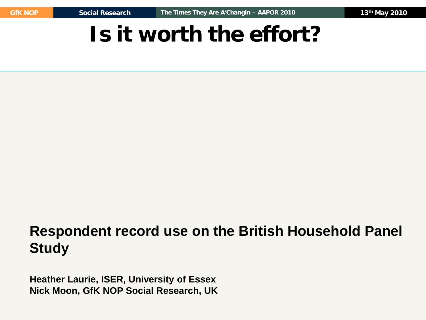# **Is it worth the effort?**

#### **Respondent record use on the British Household Panel Study**

**Heather Laurie, ISER, University of Essex Nick Moon, GfK NOP Social Research, UK**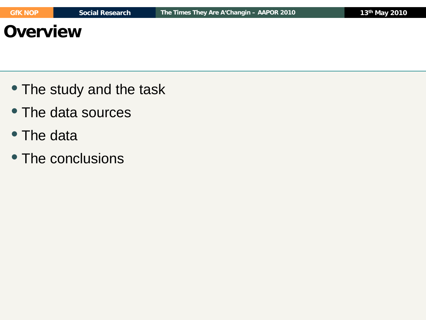#### **Overview**

- The study and the task
- The data sources
- The data
- The conclusions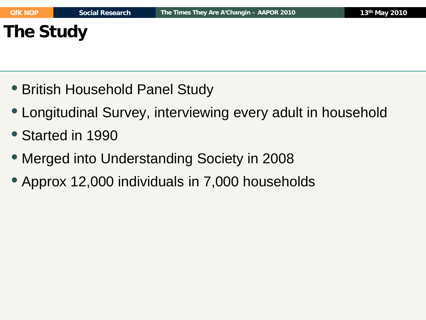# **The Study**

- British Household Panel Study
- Longitudinal Survey, interviewing every adult in household
- Started in 1990
- Merged into Understanding Society in 2008
- Approx 12,000 individuals in 7,000 households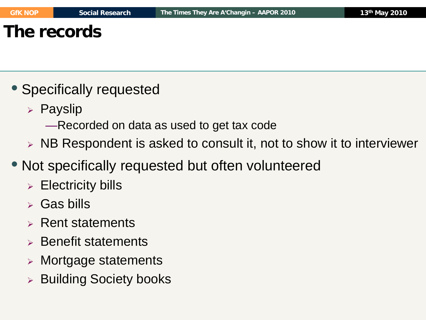#### **The records**

- Specifically requested
	- $\triangleright$  Payslip
		- —Recorded on data as used to get tax code
	- $\triangleright$  NB Respondent is asked to consult it, not to show it to interviewer
- Not specifically requested but often volunteered
	- $\triangleright$  Electricity bills
	- $\triangleright$  Gas bills
	- $\triangleright$  Rent statements
	- $\triangleright$  Benefit statements
	- Mortgage statements
	- **▶ Building Society books**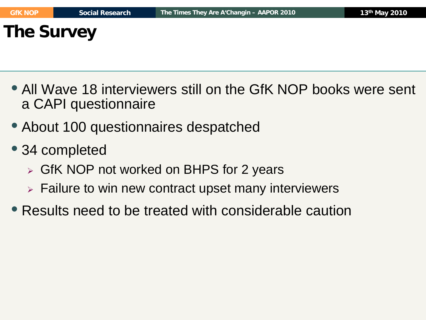**The Survey**

- All Wave 18 interviewers still on the GfK NOP books were sent a CAPI questionnaire
- About 100 questionnaires despatched
- 34 completed
	- GfK NOP not worked on BHPS for 2 years
	- $\triangleright$  Failure to win new contract upset many interviewers
- Results need to be treated with considerable caution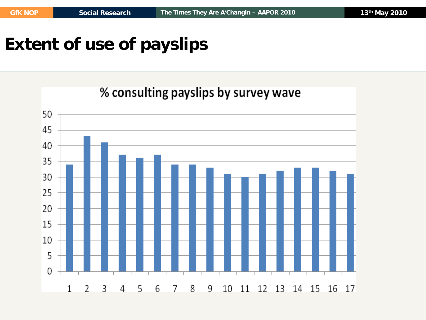# **Extent of use of payslips**

#### $\mathbf{1}$  $\overline{\phantom{a}}$

#### % consulting payslips by survey wave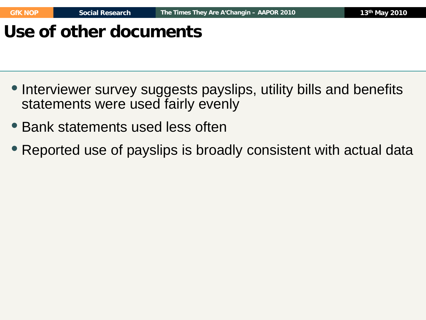# **Use of other documents**

- Interviewer survey suggests payslips, utility bills and benefits statements were used fairly evenly
- Bank statements used less often
- Reported use of payslips is broadly consistent with actual data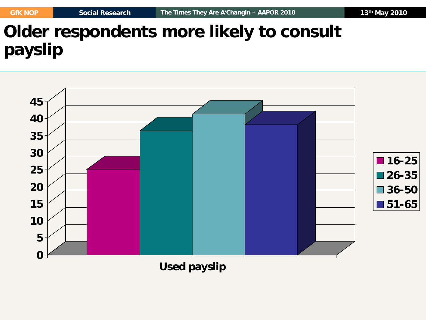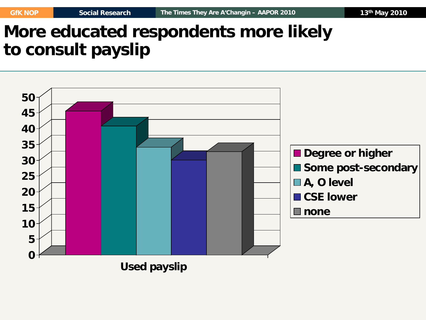# **More educated respondents more likely to consult payslip**

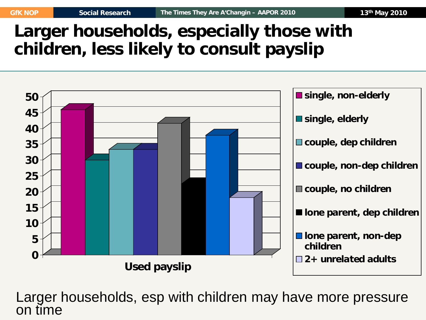## **Larger households, especially those with children, less likely to consult payslip**



Larger households, esp with children may have more pressure on time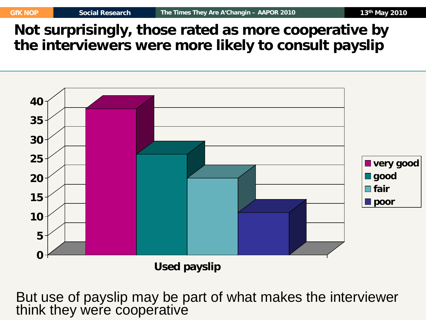**Not surprisingly, those rated as more cooperative by the interviewers were more likely to consult payslip**



**Used payslip**

But use of payslip may be part of what makes the interviewer think they were cooperative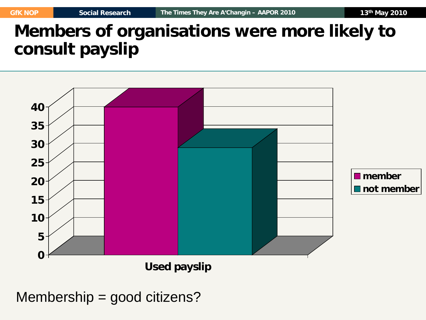#### **Members of organisations were more likely to consult payslip**



Membership = good citizens?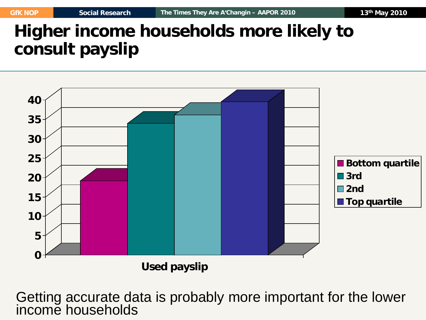## **Higher income households more likely to consult payslip**



Getting accurate data is probably more important for the lower income households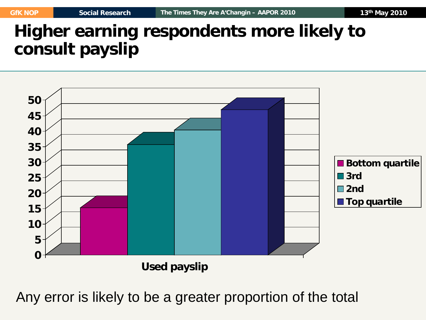#### **Higher earning respondents more likely to consult payslip**



Any error is likely to be a greater proportion of the total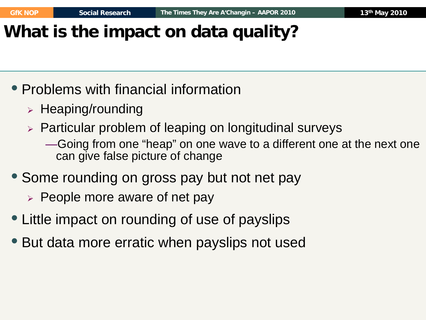# **What is the impact on data quality?**

- Problems with financial information
	- $\triangleright$  Heaping/rounding
	- $\triangleright$  Particular problem of leaping on longitudinal surveys
		- —Going from one "heap" on one wave to a different one at the next one can give false picture of change
- Some rounding on gross pay but not net pay
	- $\triangleright$  People more aware of net pay
- Little impact on rounding of use of payslips
- But data more erratic when payslips not used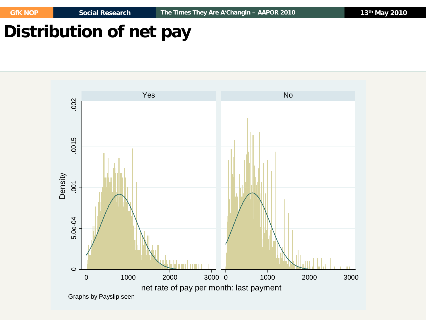## **Distribution of net pay**

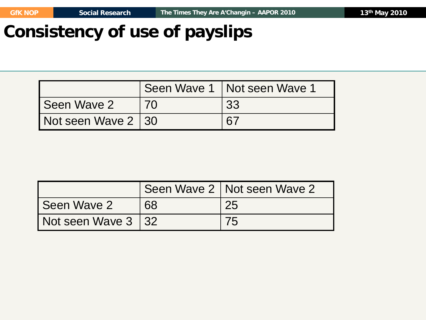#### **Consistency of use of payslips**

|                    |           | Seen Wave 1   Not seen Wave 1 |
|--------------------|-----------|-------------------------------|
| Seen Wave 2        | <b>70</b> | 33                            |
| Not seen Wave 2 30 |           | 67                            |

|                     |    | Seen Wave 2   Not seen Wave 2 |
|---------------------|----|-------------------------------|
| l Seen Wave 2       | 68 | 25                            |
| Not seen Wave 3 132 |    | 75                            |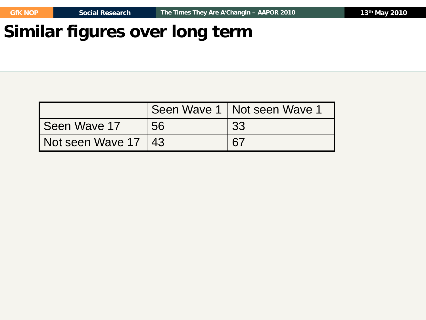#### **Similar figures over long term**

|                                 |    | Seen Wave 1   Not seen Wave 1 |
|---------------------------------|----|-------------------------------|
| Seen Wave 17                    | 56 | 33                            |
| $\sqrt{}$ Not seen Wave 17   43 |    | 67                            |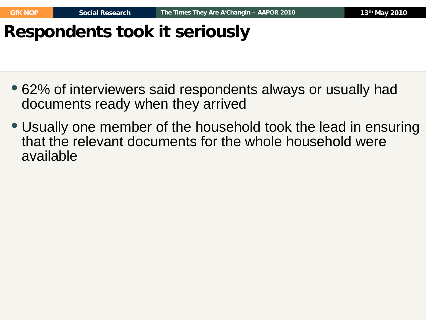## **Respondents took it seriously**

- 62% of interviewers said respondents always or usually had documents ready when they arrived
- Usually one member of the household took the lead in ensuring that the relevant documents for the whole household were available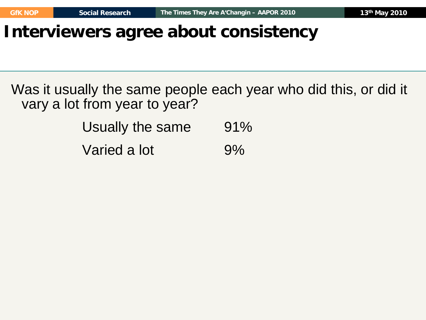#### **Interviewers agree about consistency**

Was it usually the same people each year who did this, or did it vary a lot from year to year?

| Usually the same | 91% |
|------------------|-----|
| Varied a lot     | 9%  |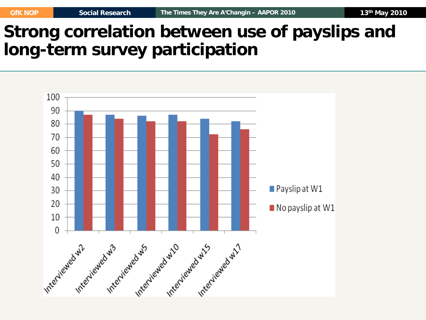#### **Strong correlation between use of payslips and long-term survey participation**

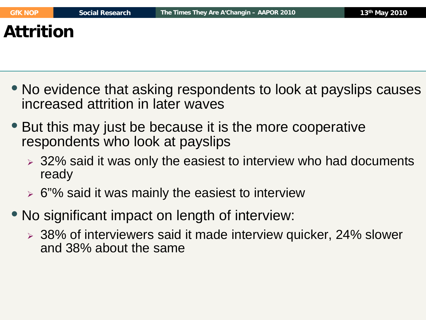- No evidence that asking respondents to look at payslips causes increased attrition in later waves
- But this may just be because it is the more cooperative respondents who look at payslips
	- 32% said it was only the easiest to interview who had documents ready
	- $\triangleright$  6"% said it was mainly the easiest to interview
- No significant impact on length of interview:
	- 38% of interviewers said it made interview quicker, 24% slower and 38% about the same